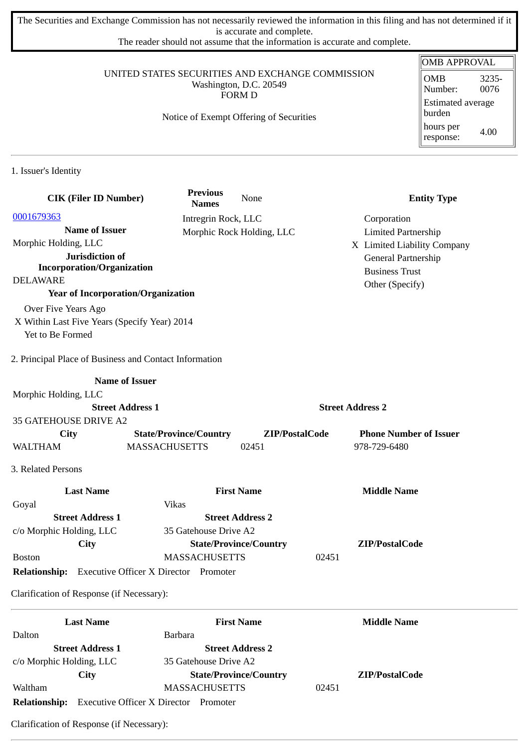The Securities and Exchange Commission has not necessarily reviewed the information in this filing and has not determined if it is accurate and complete.

The reader should not assume that the information is accurate and complete.

### UNITED STATES SECURITIES AND EXCHANGE COMMISSION Washington, D.C. 20549 FORM D

## Notice of Exempt Offering of Securities

| <b>OMB APPROVAL</b>                |               |  |  |
|------------------------------------|---------------|--|--|
| <b>OMB</b><br>Number:              | 3235-<br>0076 |  |  |
| <b>Estimated average</b><br>burden |               |  |  |
| hours per<br>response:             | 4.00          |  |  |

1. Issuer's Identity

| <b>CIK (Filer ID Number)</b>                               | <b>Previous</b><br><b>Names</b> | None                          | <b>Entity Type</b>            |
|------------------------------------------------------------|---------------------------------|-------------------------------|-------------------------------|
| 0001679363                                                 | Intregrin Rock, LLC             |                               | Corporation                   |
| <b>Name of Issuer</b>                                      |                                 | Morphic Rock Holding, LLC     | <b>Limited Partnership</b>    |
| Morphic Holding, LLC                                       |                                 |                               | X Limited Liability Company   |
| Jurisdiction of                                            |                                 |                               | General Partnership           |
| <b>Incorporation/Organization</b>                          |                                 |                               | <b>Business Trust</b>         |
| <b>DELAWARE</b>                                            |                                 |                               | Other (Specify)               |
| <b>Year of Incorporation/Organization</b>                  |                                 |                               |                               |
| Over Five Years Ago                                        |                                 |                               |                               |
| X Within Last Five Years (Specify Year) 2014               |                                 |                               |                               |
| Yet to Be Formed                                           |                                 |                               |                               |
| 2. Principal Place of Business and Contact Information     |                                 |                               |                               |
| <b>Name of Issuer</b>                                      |                                 |                               |                               |
| Morphic Holding, LLC                                       |                                 |                               |                               |
| <b>Street Address 1</b>                                    |                                 |                               | <b>Street Address 2</b>       |
| <b>35 GATEHOUSE DRIVE A2</b>                               |                                 |                               |                               |
| <b>City</b>                                                | <b>State/Province/Country</b>   | ZIP/PostalCode                | <b>Phone Number of Issuer</b> |
| <b>WALTHAM</b>                                             | <b>MASSACHUSETTS</b>            | 02451                         | 978-729-6480                  |
| 3. Related Persons                                         |                                 |                               |                               |
| <b>Last Name</b>                                           |                                 | <b>First Name</b>             | <b>Middle Name</b>            |
| Goyal                                                      | <b>Vikas</b>                    |                               |                               |
| <b>Street Address 1</b>                                    |                                 | <b>Street Address 2</b>       |                               |
| c/o Morphic Holding, LLC                                   | 35 Gatehouse Drive A2           |                               |                               |
| City                                                       |                                 | <b>State/Province/Country</b> | ZIP/PostalCode                |
| <b>Boston</b>                                              | <b>MASSACHUSETTS</b>            |                               | 02451                         |
| <b>Relationship:</b> Executive Officer X Director Promoter |                                 |                               |                               |
| Clarification of Response (if Necessary):                  |                                 |                               |                               |
| <b>Last Name</b>                                           |                                 | <b>First Name</b>             | <b>Middle Name</b>            |
| Dalton                                                     | <b>Barbara</b>                  |                               |                               |
| <b>Street Address 1</b>                                    |                                 | <b>Street Address 2</b>       |                               |
| c/o Morphic Holding, LLC                                   | 35 Gatehouse Drive A2           |                               |                               |
| <b>City</b>                                                |                                 | <b>State/Province/Country</b> | ZIP/PostalCode                |

**Relationship:** Executive Officer X Director Promoter Clarification of Response (if Necessary):

Waltham MASSACHUSETTS 02451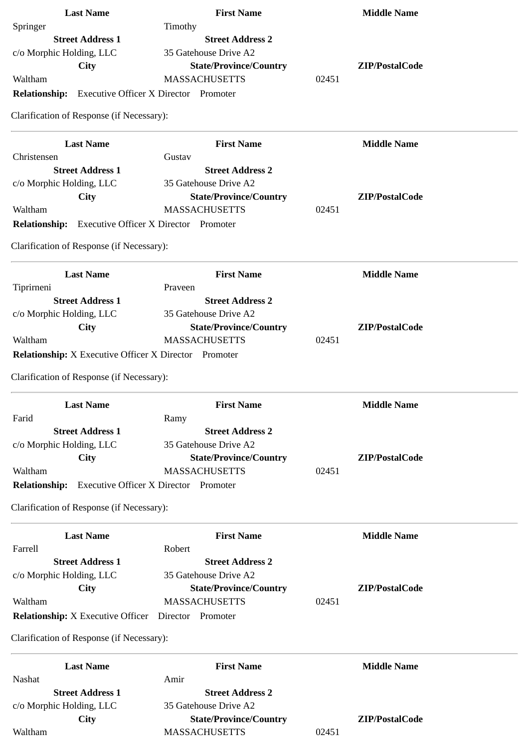| <b>Last Name</b>                                             | <b>First Name</b>                            | <b>Middle Name</b> |
|--------------------------------------------------------------|----------------------------------------------|--------------------|
| Springer                                                     | Timothy                                      |                    |
| <b>Street Address 1</b>                                      | <b>Street Address 2</b>                      |                    |
| c/o Morphic Holding, LLC                                     | 35 Gatehouse Drive A2                        |                    |
| <b>City</b>                                                  | <b>State/Province/Country</b>                | ZIP/PostalCode     |
| Waltham                                                      | <b>MASSACHUSETTS</b>                         | 02451              |
| <b>Relationship:</b>                                         | <b>Executive Officer X Director Promoter</b> |                    |
| Clarification of Response (if Necessary):                    |                                              |                    |
| <b>Last Name</b>                                             | <b>First Name</b>                            | <b>Middle Name</b> |
| Christensen                                                  | Gustav                                       |                    |
| <b>Street Address 1</b>                                      | <b>Street Address 2</b>                      |                    |
| c/o Morphic Holding, LLC                                     | 35 Gatehouse Drive A2                        |                    |
| City                                                         | <b>State/Province/Country</b>                | ZIP/PostalCode     |
| Waltham                                                      | <b>MASSACHUSETTS</b>                         | 02451              |
| Relationship: Executive Officer X Director Promoter          |                                              |                    |
| Clarification of Response (if Necessary):                    |                                              |                    |
| <b>Last Name</b>                                             | <b>First Name</b>                            | <b>Middle Name</b> |
| Tiprirneni                                                   | Praveen                                      |                    |
| <b>Street Address 1</b>                                      | <b>Street Address 2</b>                      |                    |
| c/o Morphic Holding, LLC                                     | 35 Gatehouse Drive A2                        |                    |
| City                                                         | <b>State/Province/Country</b>                | ZIP/PostalCode     |
| Waltham                                                      | <b>MASSACHUSETTS</b>                         | 02451              |
| <b>Relationship:</b> X Executive Officer X Director Promoter |                                              |                    |
| Clarification of Response (if Necessary):                    |                                              |                    |
| <b>Last Name</b>                                             | <b>First Name</b>                            | <b>Middle Name</b> |
| Farid                                                        | Ramy                                         |                    |
| <b>Street Address 1</b>                                      | <b>Street Address 2</b>                      |                    |
| c/o Morphic Holding, LLC                                     | 35 Gatehouse Drive A2                        |                    |
| <b>City</b>                                                  | <b>State/Province/Country</b>                | ZIP/PostalCode     |
| Waltham                                                      | <b>MASSACHUSETTS</b>                         | 02451              |
| <b>Relationship:</b>                                         | <b>Executive Officer X Director Promoter</b> |                    |
| Clarification of Response (if Necessary):                    |                                              |                    |
| <b>Last Name</b>                                             | <b>First Name</b>                            | <b>Middle Name</b> |
| Farrell                                                      | Robert                                       |                    |
| <b>Street Address 1</b>                                      | <b>Street Address 2</b>                      |                    |
| c/o Morphic Holding, LLC                                     | 35 Gatehouse Drive A2                        |                    |
| City                                                         | <b>State/Province/Country</b>                | ZIP/PostalCode     |
| Waltham                                                      | <b>MASSACHUSETTS</b>                         | 02451              |
| <b>Relationship:</b> X Executive Officer  Director  Promoter |                                              |                    |
| Clarification of Response (if Necessary):                    |                                              |                    |
| <b>Last Name</b>                                             | <b>First Name</b>                            | <b>Middle Name</b> |
| Nashat                                                       | Amir                                         |                    |
| <b>Street Address 1</b>                                      | <b>Street Address 2</b>                      |                    |
| c/o Morphic Holding, LLC                                     | 35 Gatehouse Drive A2                        |                    |
| City                                                         | <b>State/Province/Country</b>                | ZIP/PostalCode     |
| Waltham                                                      | <b>MASSACHUSETTS</b>                         | 02451              |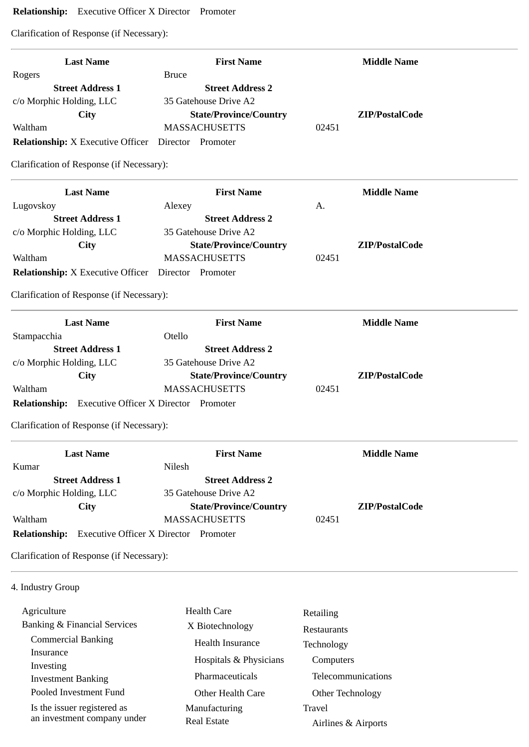# **Relationship:** Executive Officer X Director Promoter

Clarification of Response (if Necessary):

| <b>Last Name</b>                                           | <b>First Name</b>                            |       | <b>Middle Name</b> |
|------------------------------------------------------------|----------------------------------------------|-------|--------------------|
| Rogers                                                     | <b>Bruce</b>                                 |       |                    |
| <b>Street Address 1</b>                                    | <b>Street Address 2</b>                      |       |                    |
| c/o Morphic Holding, LLC                                   | 35 Gatehouse Drive A2                        |       |                    |
| <b>City</b>                                                | <b>State/Province/Country</b>                |       | ZIP/PostalCode     |
| Waltham                                                    | <b>MASSACHUSETTS</b>                         | 02451 |                    |
| <b>Relationship:</b> X Executive Officer                   | Director Promoter                            |       |                    |
| Clarification of Response (if Necessary):                  |                                              |       |                    |
| <b>Last Name</b>                                           | <b>First Name</b>                            |       | <b>Middle Name</b> |
| Lugovskoy                                                  | Alexey                                       | A.    |                    |
| <b>Street Address 1</b>                                    | <b>Street Address 2</b>                      |       |                    |
| c/o Morphic Holding, LLC                                   | 35 Gatehouse Drive A2                        |       |                    |
| <b>City</b>                                                | <b>State/Province/Country</b>                |       | ZIP/PostalCode     |
| Waltham                                                    | <b>MASSACHUSETTS</b>                         | 02451 |                    |
| <b>Relationship:</b> X Executive Officer                   | Director Promoter                            |       |                    |
| Clarification of Response (if Necessary):                  |                                              |       |                    |
| <b>Last Name</b>                                           | <b>First Name</b>                            |       | <b>Middle Name</b> |
| Stampacchia                                                | Otello                                       |       |                    |
| <b>Street Address 1</b>                                    | <b>Street Address 2</b>                      |       |                    |
| c/o Morphic Holding, LLC                                   | 35 Gatehouse Drive A2                        |       |                    |
| City                                                       | <b>State/Province/Country</b>                |       | ZIP/PostalCode     |
| Waltham                                                    | <b>MASSACHUSETTS</b>                         | 02451 |                    |
| <b>Relationship:</b> Executive Officer X Director Promoter |                                              |       |                    |
| Clarification of Response (if Necessary):                  |                                              |       |                    |
| <b>Last Name</b>                                           | <b>First Name</b>                            |       | <b>Middle Name</b> |
| Kumar                                                      | Nilesh                                       |       |                    |
| <b>Street Address 1</b>                                    | <b>Street Address 2</b>                      |       |                    |
| c/o Morphic Holding, LLC                                   | 35 Gatehouse Drive A2                        |       |                    |
| <b>City</b>                                                | <b>State/Province/Country</b>                |       | ZIP/PostalCode     |
| Waltham                                                    | <b>MASSACHUSETTS</b>                         | 02451 |                    |
| <b>Relationship:</b>                                       | <b>Executive Officer X Director Promoter</b> |       |                    |
| Clarification of Response (if Necessary):                  |                                              |       |                    |
| 4. Industry Group                                          |                                              |       |                    |
| $\Delta$ ariculture                                        | $H_{\alpha}$ alth $C_{\alpha}$ ro            |       |                    |

| Agriculture                  | <b>Health Care</b>     | Retailing           |
|------------------------------|------------------------|---------------------|
| Banking & Financial Services | X Biotechnology        | <b>Restaurants</b>  |
| <b>Commercial Banking</b>    | Health Insurance       | Technology          |
| Insurance<br>Investing       | Hospitals & Physicians | Computers           |
| <b>Investment Banking</b>    | Pharmaceuticals        | Telecommunications  |
| Pooled Investment Fund       | Other Health Care      | Other Technology    |
| Is the issuer registered as  | Manufacturing          | Travel              |
| an investment company under  | Real Estate            | Airlines & Airports |
|                              |                        |                     |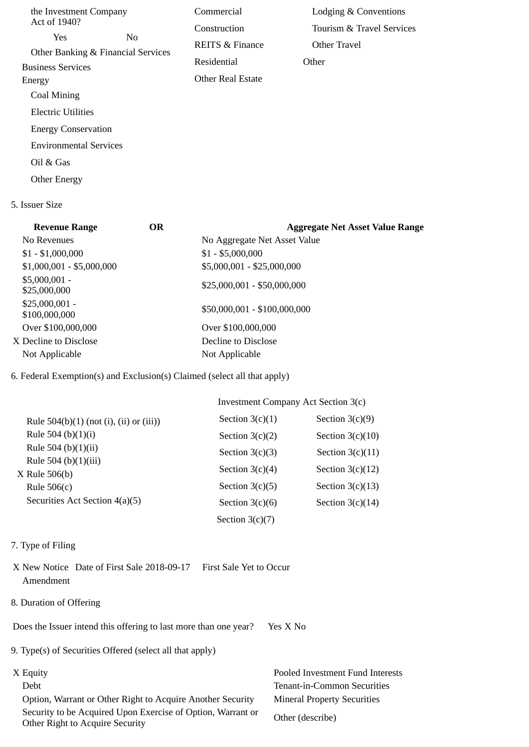| the Investment Company        |                                          | Commercial                 | Lodging & Conventions     |
|-------------------------------|------------------------------------------|----------------------------|---------------------------|
| Act of 1940?                  |                                          | Construction               | Tourism & Travel Services |
| <b>Yes</b>                    | No<br>Other Banking & Financial Services | <b>REITS &amp; Finance</b> | Other Travel              |
| <b>Business Services</b>      |                                          | Residential                | Other                     |
| Energy                        |                                          | <b>Other Real Estate</b>   |                           |
| Coal Mining                   |                                          |                            |                           |
| Electric Utilities            |                                          |                            |                           |
| <b>Energy Conservation</b>    |                                          |                            |                           |
| <b>Environmental Services</b> |                                          |                            |                           |
| Oil & Gas                     |                                          |                            |                           |
| Other Energy                  |                                          |                            |                           |

### 5. Issuer Size

| <b>Revenue Range</b>             | OR | <b>Aggregate Net Asset Value Range</b> |
|----------------------------------|----|----------------------------------------|
| No Revenues                      |    | No Aggregate Net Asset Value           |
| $$1 - $1,000,000$                |    | $$1 - $5,000,000$                      |
| $$1,000,001 - $5,000,000$        |    | \$5,000,001 - \$25,000,000             |
| $$5,000,001 -$<br>\$25,000,000   |    | $$25,000,001 - $50,000,000$            |
| $$25,000,001 -$<br>\$100,000,000 |    | \$50,000,001 - \$100,000,000           |
| Over \$100,000,000               |    | Over \$100,000,000                     |
| X Decline to Disclose            |    | Decline to Disclose                    |
| Not Applicable                   |    | Not Applicable                         |
|                                  |    |                                        |

# 6. Federal Exemption(s) and Exclusion(s) Claimed (select all that apply)

|                                            | Investment Company Act Section 3(c) |                    |
|--------------------------------------------|-------------------------------------|--------------------|
| Rule $504(b)(1)$ (not (i), (ii) or (iii))  | Section $3(c)(1)$                   | Section $3(c)(9)$  |
| Rule 504 (b) $(1)(i)$                      | Section $3(c)(2)$                   | Section $3(c)(10)$ |
| Rule 504 (b) $(1)(ii)$                     | Section $3(c)(3)$                   | Section $3(c)(11)$ |
| Rule 504 (b) $(1)(iii)$<br>$X$ Rule 506(b) | Section $3(c)(4)$                   | Section $3(c)(12)$ |
| Rule $506(c)$                              | Section $3(c)(5)$                   | Section $3(c)(13)$ |
| Securities Act Section 4(a)(5)             | Section $3(c)(6)$                   | Section $3(c)(14)$ |
|                                            | Section $3(c)(7)$                   |                    |

### 7. Type of Filing

- X New Notice Date of First Sale 2018-09-17 First Sale Yet to Occur Amendment
- 8. Duration of Offering

Does the Issuer intend this offering to last more than one year? Yes X No

- 9. Type(s) of Securities Offered (select all that apply)
- -

 Option, Warrant or Other Right to Acquire Another Security Mineral Property Securities Security to be Acquired Upon Exercise of Option, Warrant or Security to be Acquired Opon Exercise of Option, warrant or Other (describe)<br>Other Right to Acquire Security

X Equity Pooled Investment Fund Interests Debt Tenant-in-Common Securities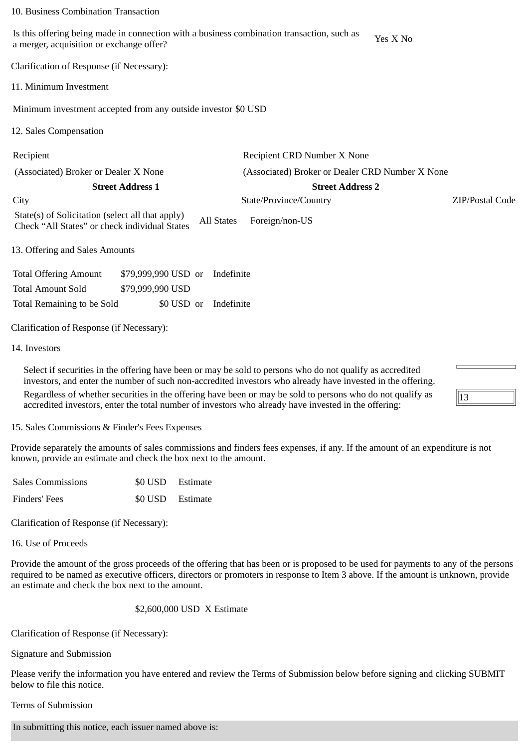#### 10. Business Combination Transaction

Is this offering being made in connection with a business combination transaction, such as is this offering being made in connection with a business combination transaction, such as  $Y$ es X No a merger, acquisition or exchange offer?

Clarification of Response (if Necessary):

11. Minimum Investment

Minimum investment accepted from any outside investor \$0 USD

12. Sales Compensation

Recipient Recipient CRD Number X None

(Associated) Broker or Dealer X None (Associated) Broker or Dealer CRD Number X None

**Street Address 1 Street Address 2**

City State/Province/Country ZIP/Postal Code

13

State(s) of Solicitation (select all that apply) State(s) of Soficitation (select all that apply) All States Foreign/non-US<br>Check "All States" or check individual States

13. Offering and Sales Amounts

| <b>Total Offering Amount</b> | \$79,999,990 USD or Indefinite |  |
|------------------------------|--------------------------------|--|
| <b>Total Amount Sold</b>     | \$79,999,990 USD               |  |
| Total Remaining to be Sold   | \$0 USD or Indefinite          |  |

Clarification of Response (if Necessary):

14. Investors

Select if securities in the offering have been or may be sold to persons who do not qualify as accredited investors, and enter the number of such non-accredited investors who already have invested in the offering. Regardless of whether securities in the offering have been or may be sold to persons who do not qualify as accredited investors, enter the total number of investors who already have invested in the offering:

15. Sales Commissions & Finder's Fees Expenses

Provide separately the amounts of sales commissions and finders fees expenses, if any. If the amount of an expenditure is not known, provide an estimate and check the box next to the amount.

| <b>Sales Commissions</b> | \$0 USD Estimate |
|--------------------------|------------------|
| Finders' Fees            | \$0 USD Estimate |

Clarification of Response (if Necessary):

16. Use of Proceeds

Provide the amount of the gross proceeds of the offering that has been or is proposed to be used for payments to any of the persons required to be named as executive officers, directors or promoters in response to Item 3 above. If the amount is unknown, provide an estimate and check the box next to the amount.

### \$2,600,000 USD X Estimate

Clarification of Response (if Necessary):

Signature and Submission

Please verify the information you have entered and review the Terms of Submission below before signing and clicking SUBMIT below to file this notice.

Terms of Submission

In submitting this notice, each issuer named above is: